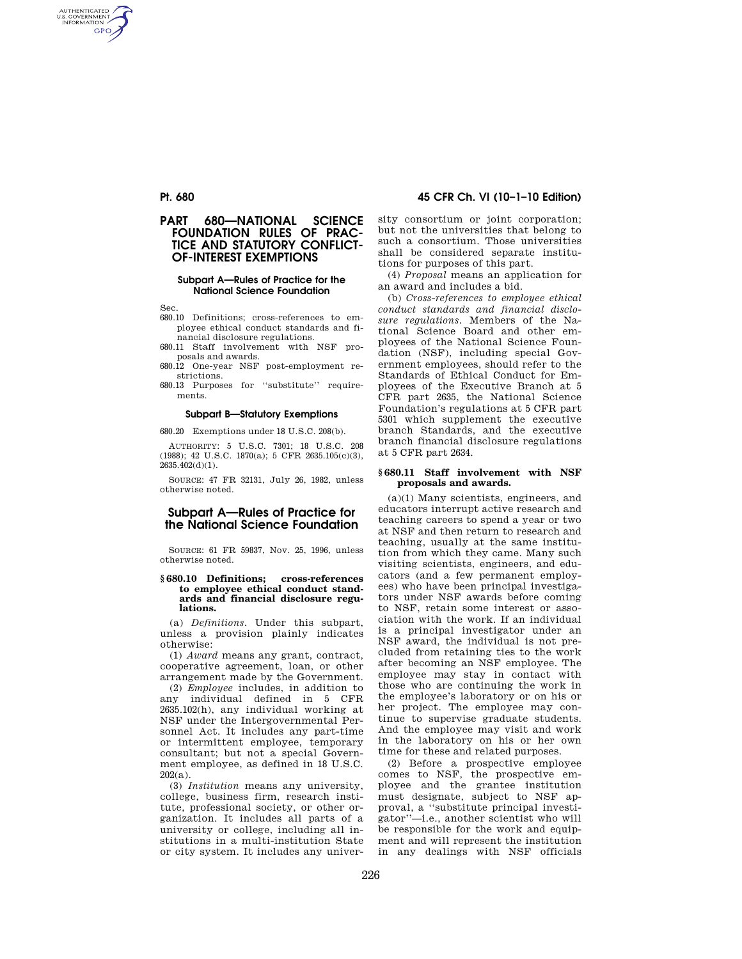## **Pt. 680 45 CFR Ch. VI (10–1–10 Edition)**

# **PART 680—NATIONAL SCIENCE FOUNDATION RULES OF PRAC-TICE AND STATUTORY CONFLICT-OF-INTEREST EXEMPTIONS**

## **Subpart A—Rules of Practice for the National Science Foundation**

Sec.

AUTHENTICATED<br>U.S. GOVERNMENT<br>INFORMATION **GPO** 

- 680.10 Definitions; cross-references to employee ethical conduct standards and financial disclosure regulations.
- 680.11 Staff involvement with NSF proposals and awards.
- 680.12 One-year NSF post-employment restrictions.
- 680.13 Purposes for ''substitute'' requirements.

## **Subpart B—Statutory Exemptions**

680.20 Exemptions under 18 U.S.C. 208(b).

AUTHORITY: 5 U.S.C. 7301; 18 U.S.C. 208 (1988); 42 U.S.C. 1870(a); 5 CFR 2635.105(c)(3), 2635.402(d)(1).

SOURCE: 47 FR 32131, July 26, 1982, unless otherwise noted.

# **Subpart A—Rules of Practice for the National Science Foundation**

SOURCE: 61 FR 59837, Nov. 25, 1996, unless otherwise noted.

#### **§ 680.10 Definitions; cross-references to employee ethical conduct standards and financial disclosure regulations.**

(a) *Definitions.* Under this subpart, unless a provision plainly indicates otherwise:

(1) *Award* means any grant, contract, cooperative agreement, loan, or other arrangement made by the Government.

(2) *Employee* includes, in addition to any individual defined in 5 CFR 2635.102(h), any individual working at NSF under the Intergovernmental Personnel Act. It includes any part-time or intermittent employee, temporary consultant; but not a special Government employee, as defined in 18 U.S.C.  $202(a)$ .

(3) *Institution* means any university, college, business firm, research institute, professional society, or other organization. It includes all parts of a university or college, including all institutions in a multi-institution State or city system. It includes any university consortium or joint corporation; but not the universities that belong to such a consortium. Those universities shall be considered separate institutions for purposes of this part.

(4) *Proposal* means an application for an award and includes a bid.

(b) *Cross-references to employee ethical conduct standards and financial disclosure regulations.* Members of the National Science Board and other employees of the National Science Foundation (NSF), including special Government employees, should refer to the Standards of Ethical Conduct for Employees of the Executive Branch at 5 CFR part 2635, the National Science Foundation's regulations at 5 CFR part 5301 which supplement the executive branch Standards, and the executive branch financial disclosure regulations at 5 CFR part 2634.

#### **§ 680.11 Staff involvement with NSF proposals and awards.**

(a)(1) Many scientists, engineers, and educators interrupt active research and teaching careers to spend a year or two at NSF and then return to research and teaching, usually at the same institution from which they came. Many such visiting scientists, engineers, and educators (and a few permanent employees) who have been principal investigators under NSF awards before coming to NSF, retain some interest or association with the work. If an individual is a principal investigator under an NSF award, the individual is not precluded from retaining ties to the work after becoming an NSF employee. The employee may stay in contact with those who are continuing the work in the employee's laboratory or on his or her project. The employee may continue to supervise graduate students. And the employee may visit and work in the laboratory on his or her own time for these and related purposes.

(2) Before a prospective employee comes to NSF, the prospective employee and the grantee institution must designate, subject to NSF approval, a ''substitute principal investigator''—i.e., another scientist who will be responsible for the work and equipment and will represent the institution in any dealings with NSF officials